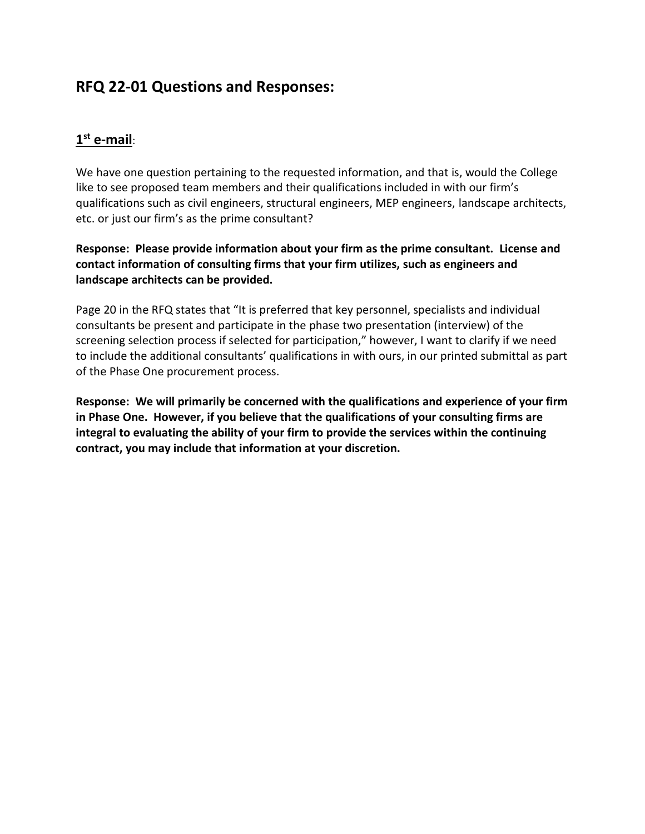# **RFQ 22-01 Questions and Responses:**

# **1 st e-mail**:

We have one question pertaining to the requested information, and that is, would the College like to see proposed team members and their qualifications included in with our firm's qualifications such as civil engineers, structural engineers, MEP engineers, landscape architects, etc. or just our firm's as the prime consultant?

**Response: Please provide information about your firm as the prime consultant. License and contact information of consulting firms that your firm utilizes, such as engineers and landscape architects can be provided.** 

Page 20 in the RFQ states that "It is preferred that key personnel, specialists and individual consultants be present and participate in the phase two presentation (interview) of the screening selection process if selected for participation," however, I want to clarify if we need to include the additional consultants' qualifications in with ours, in our printed submittal as part of the Phase One procurement process.

**Response: We will primarily be concerned with the qualifications and experience of your firm in Phase One. However, if you believe that the qualifications of your consulting firms are integral to evaluating the ability of your firm to provide the services within the continuing contract, you may include that information at your discretion.**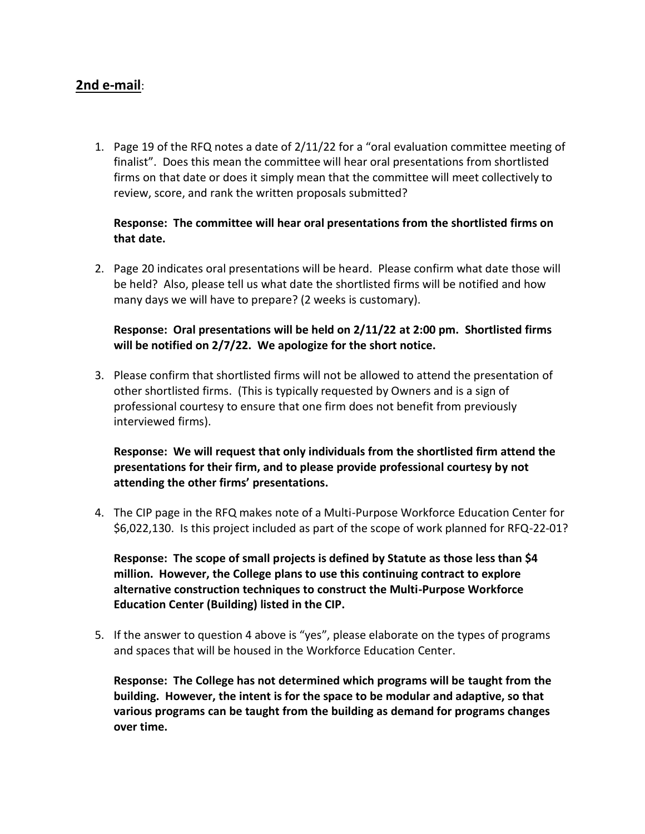## **2nd e-mail**:

1. Page 19 of the RFQ notes a date of 2/11/22 for a "oral evaluation committee meeting of finalist". Does this mean the committee will hear oral presentations from shortlisted firms on that date or does it simply mean that the committee will meet collectively to review, score, and rank the written proposals submitted?

### **Response: The committee will hear oral presentations from the shortlisted firms on that date.**

2. Page 20 indicates oral presentations will be heard. Please confirm what date those will be held? Also, please tell us what date the shortlisted firms will be notified and how many days we will have to prepare? (2 weeks is customary).

### **Response: Oral presentations will be held on 2/11/22 at 2:00 pm. Shortlisted firms will be notified on 2/7/22. We apologize for the short notice.**

3. Please confirm that shortlisted firms will not be allowed to attend the presentation of other shortlisted firms. (This is typically requested by Owners and is a sign of professional courtesy to ensure that one firm does not benefit from previously interviewed firms).

## **Response: We will request that only individuals from the shortlisted firm attend the presentations for their firm, and to please provide professional courtesy by not attending the other firms' presentations.**

4. The CIP page in the RFQ makes note of a Multi-Purpose Workforce Education Center for \$6,022,130. Is this project included as part of the scope of work planned for RFQ-22-01?

**Response: The scope of small projects is defined by Statute as those less than \$4 million. However, the College plans to use this continuing contract to explore alternative construction techniques to construct the Multi-Purpose Workforce Education Center (Building) listed in the CIP.** 

5. If the answer to question 4 above is "yes", please elaborate on the types of programs and spaces that will be housed in the Workforce Education Center.

**Response: The College has not determined which programs will be taught from the building. However, the intent is for the space to be modular and adaptive, so that various programs can be taught from the building as demand for programs changes over time.**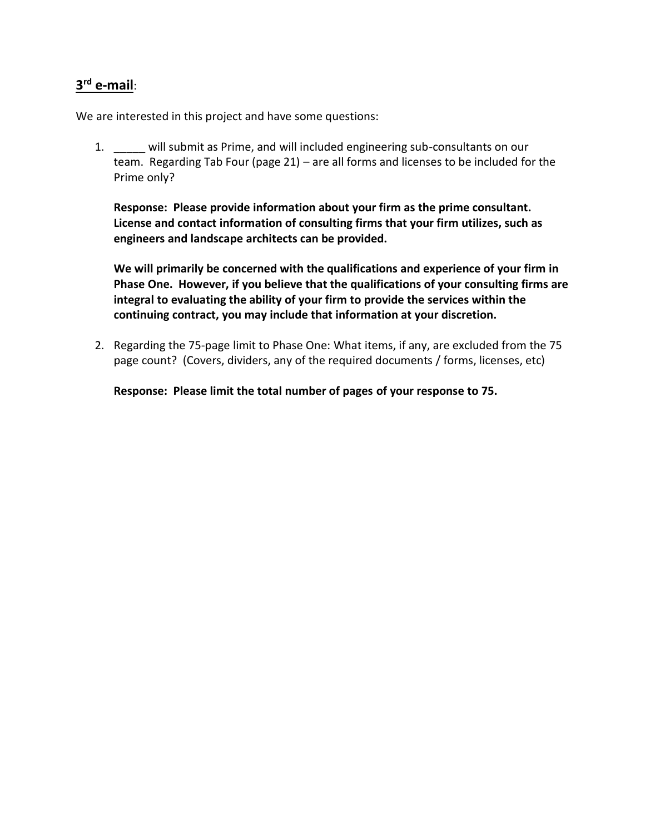# **3 rd e-mail**:

We are interested in this project and have some questions:

1. \_\_\_\_\_ will submit as Prime, and will included engineering sub-consultants on our team. Regarding Tab Four (page 21) – are all forms and licenses to be included for the Prime only?

**Response: Please provide information about your firm as the prime consultant. License and contact information of consulting firms that your firm utilizes, such as engineers and landscape architects can be provided.**

**We will primarily be concerned with the qualifications and experience of your firm in Phase One. However, if you believe that the qualifications of your consulting firms are integral to evaluating the ability of your firm to provide the services within the continuing contract, you may include that information at your discretion.**

2. Regarding the 75-page limit to Phase One: What items, if any, are excluded from the 75 page count? (Covers, dividers, any of the required documents / forms, licenses, etc)

**Response: Please limit the total number of pages of your response to 75.**